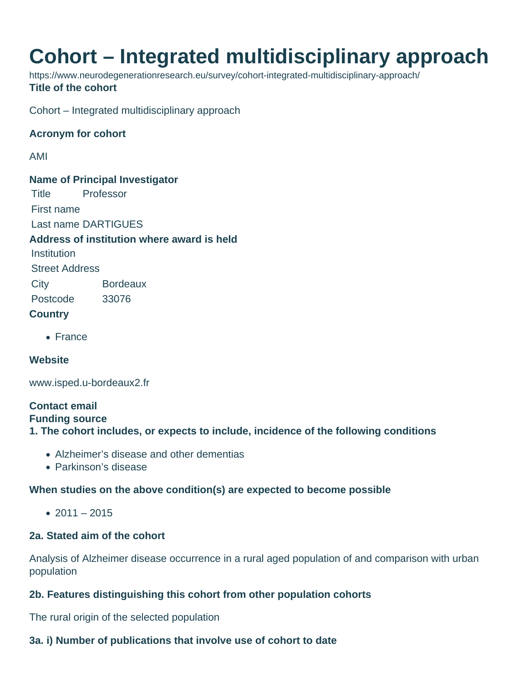# **Cohort – Integrated multidisciplinary approach**

https://www.neurodegenerationresearch.eu/survey/cohort-integrated-multidisciplinary-approach/ **Title of the cohort**

Cohort – Integrated multidisciplinary approach

### **Acronym for cohort**

AMI

**Name of Principal Investigator** Title Professor First name Last name DARTIGUES **Address of institution where award is held Institution** Street Address City Bordeaux Postcode 33076 **Country**

• France

### **Website**

www.isped.u-bordeaux2.fr

# **Contact email**

**Funding source**

**1. The cohort includes, or expects to include, incidence of the following conditions**

- Alzheimer's disease and other dementias
- Parkinson's disease

#### **When studies on the above condition(s) are expected to become possible**

 $• 2011 - 2015$ 

# **2a. Stated aim of the cohort**

Analysis of Alzheimer disease occurrence in a rural aged population of and comparison with urban population

# **2b. Features distinguishing this cohort from other population cohorts**

The rural origin of the selected population

# **3a. i) Number of publications that involve use of cohort to date**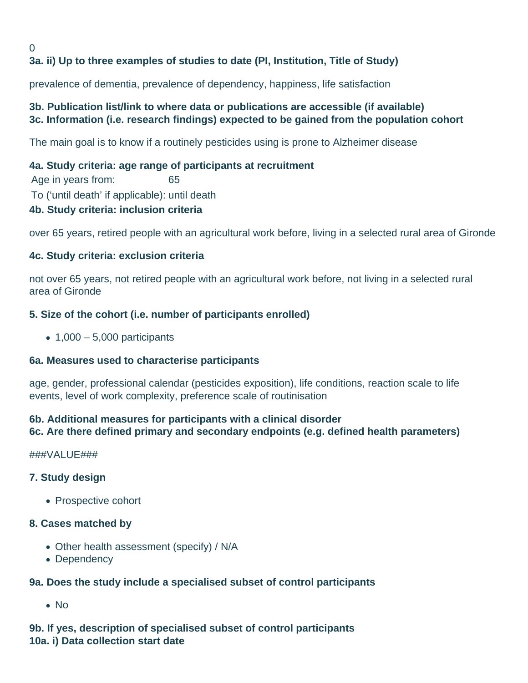#### 0 **3a. ii) Up to three examples of studies to date (PI, Institution, Title of Study)**

prevalence of dementia, prevalence of dependency, happiness, life satisfaction

# **3b. Publication list/link to where data or publications are accessible (if available) 3c. Information (i.e. research findings) expected to be gained from the population cohort**

The main goal is to know if a routinely pesticides using is prone to Alzheimer disease

# **4a. Study criteria: age range of participants at recruitment**

Age in years from: 65 To ('until death' if applicable): until death

# **4b. Study criteria: inclusion criteria**

over 65 years, retired people with an agricultural work before, living in a selected rural area of Gironde

# **4c. Study criteria: exclusion criteria**

not over 65 years, not retired people with an agricultural work before, not living in a selected rural area of Gironde

# **5. Size of the cohort (i.e. number of participants enrolled)**

 $\bullet$  1,000 – 5,000 participants

### **6a. Measures used to characterise participants**

age, gender, professional calendar (pesticides exposition), life conditions, reaction scale to life events, level of work complexity, preference scale of routinisation

# **6b. Additional measures for participants with a clinical disorder 6c. Are there defined primary and secondary endpoints (e.g. defined health parameters)**

###VALUE###

### **7. Study design**

• Prospective cohort

### **8. Cases matched by**

- Other health assessment (specify) / N/A
- Dependency

### **9a. Does the study include a specialised subset of control participants**

• No

**9b. If yes, description of specialised subset of control participants 10a. i) Data collection start date**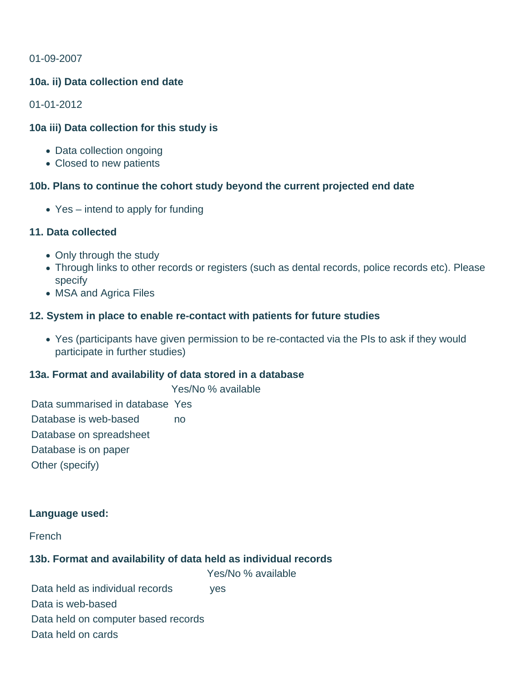#### 01-09-2007

#### **10a. ii) Data collection end date**

01-01-2012

#### **10a iii) Data collection for this study is**

- Data collection ongoing
- Closed to new patients

#### **10b. Plans to continue the cohort study beyond the current projected end date**

Yes – intend to apply for funding

#### **11. Data collected**

- Only through the study
- Through links to other records or registers (such as dental records, police records etc). Please specify
- MSA and Agrica Files

#### **12. System in place to enable re-contact with patients for future studies**

Yes (participants have given permission to be re-contacted via the PIs to ask if they would participate in further studies)

#### **13a. Format and availability of data stored in a database**

Yes/No % available

Data summarised in database Yes Database is web-based on Database on spreadsheet Database is on paper Other (specify)

#### **Language used:**

French

#### **13b. Format and availability of data held as individual records**

Yes/No % available Data held as individual records ves Data is web-based Data held on computer based records Data held on cards